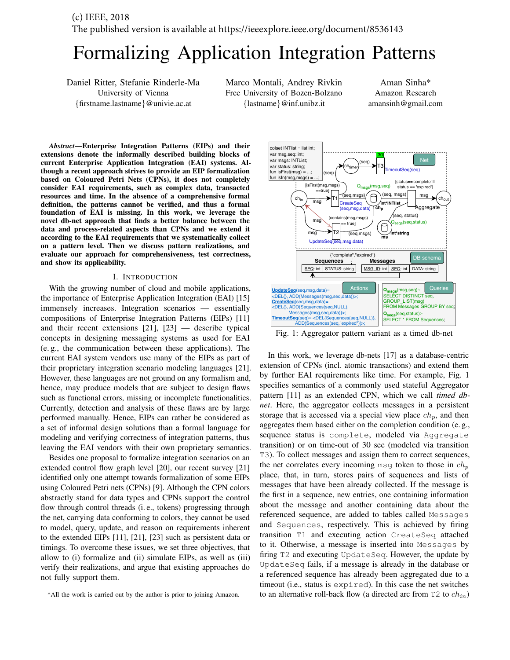# Formalizing Application Integration Patterns

Daniel Ritter, Stefanie Rinderle-Ma University of Vienna {firstname.lastname}@univie.ac.at

Marco Montali, Andrey Rivkin Free University of Bozen-Bolzano {lastname}@inf.unibz.it

Aman Sinha\* Amazon Research amansinh@gmail.com

*Abstract*—Enterprise Integration Patterns (EIPs) and their extensions denote the informally described building blocks of current Enterprise Application Integration (EAI) systems. Although a recent approach strives to provide an EIP formalization based on Coloured Petri Nets (CPNs), it does not completely consider EAI requirements, such as complex data, transacted resources and time. In the absence of a comprehensive formal definition, the patterns cannot be verified, and thus a formal foundation of EAI is missing. In this work, we leverage the novel db-net approach that finds a better balance between the data and process-related aspects than CPNs and we extend it according to the EAI requirements that we systematically collect on a pattern level. Then we discuss pattern realizations, and evaluate our approach for comprehensiveness, test correctness, and show its applicability.

### I. INTRODUCTION

With the growing number of cloud and mobile applications, the importance of Enterprise Application Integration (EAI) [15] immensely increases. Integration scenarios — essentially compositions of Enterprise Integration Patterns (EIPs) [11] and their recent extensions  $[21]$ ,  $[23]$  — describe typical concepts in designing messaging systems as used for EAI (e. g., the communication between these applications). The current EAI system vendors use many of the EIPs as part of their proprietary integration scenario modeling languages [21]. However, these languages are not ground on any formalism and, hence, may produce models that are subject to design flaws such as functional errors, missing or incomplete functionalities. Currently, detection and analysis of these flaws are by large performed manually. Hence, EIPs can rather be considered as a set of informal design solutions than a formal language for modeling and verifying correctness of integration patterns, thus leaving the EAI vendors with their own proprietary semantics.

Besides one proposal to formalize integration scenarios on an extended control flow graph level [20], our recent survey [21] identified only one attempt towards formalization of some EIPs using Coloured Petri nets (CPNs) [9]. Although the CPN colors abstractly stand for data types and CPNs support the control flow through control threads (i. e., tokens) progressing through the net, carrying data conforming to colors, they cannot be used to model, query, update, and reason on requirements inherent to the extended EIPs [11], [21], [23] such as persistent data or timings. To overcome these issues, we set three objectives, that allow to (i) formalize and (ii) simulate EIPs, as well as (iii) verify their realizations, and argue that existing approaches do not fully support them.



Fig. 1: Aggregator pattern variant as a timed db-net

In this work, we leverage db-nets [17] as a database-centric extension of CPNs (incl. atomic transactions) and extend them by further EAI requirements like time. For example, Fig. 1 specifies semantics of a commonly used stateful Aggregator pattern [11] as an extended CPN, which we call *timed dbnet*. Here, the aggregator collects messages in a persistent storage that is accessed via a special view place  $ch<sub>p</sub>$ , and then aggregates them based either on the completion condition (e. g., sequence status is complete, modeled via Aggregate transition) or on time-out of 30 sec (modeled via transition T3). To collect messages and assign them to correct sequences, the net correlates every incoming msg token to those in  $ch_p$ place, that, in turn, stores pairs of sequences and lists of messages that have been already collected. If the message is the first in a sequence, new entries, one containing information about the message and another containing data about the referenced sequence, are added to tables called Messages and Sequences, respectively. This is achieved by firing transition T1 and executing action CreateSeq attached to it. Otherwise, a message is inserted into Messages by firing T2 and executing UpdateSeq. However, the update by UpdateSeq fails, if a message is already in the database or a referenced sequence has already been aggregated due to a timeout (i.e., status is expired). In this case the net switches to an alternative roll-back flow (a directed arc from  $T2$  to  $ch_{in}$ )

<sup>\*</sup>All the work is carried out by the author is prior to joining Amazon.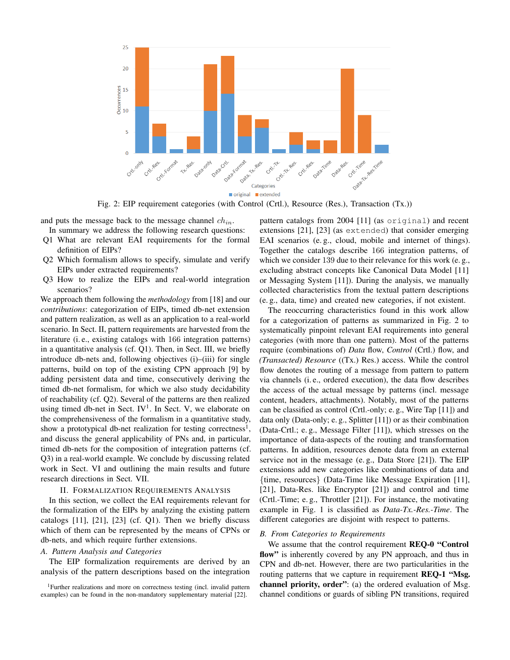

Fig. 2: EIP requirement categories (with Control (Crtl.), Resource (Res.), Transaction (Tx.))

and puts the message back to the message channel  $ch_{in}$ .

- In summary we address the following research questions: Q1 What are relevant EAI requirements for the formal definition of EIPs?
- Q2 Which formalism allows to specify, simulate and verify EIPs under extracted requirements?
- Q3 How to realize the EIPs and real-world integration scenarios?

We approach them following the *methodology* from [18] and our *contributions*: categorization of EIPs, timed db-net extension and pattern realization, as well as an application to a real-world scenario. In Sect. II, pattern requirements are harvested from the literature (i. e., existing catalogs with 166 integration patterns) in a quantitative analysis (cf. Q1). Then, in Sect. III, we briefly introduce db-nets and, following objectives (i)–(iii) for single patterns, build on top of the existing CPN approach [9] by adding persistent data and time, consecutively deriving the timed db-net formalism, for which we also study decidability of reachability (cf. Q2). Several of the patterns are then realized using timed db-net in Sect.  $IV<sup>1</sup>$ . In Sect. V, we elaborate on the comprehensiveness of the formalism in a quantitative study, show a prototypical db-net realization for testing correctness<sup>1</sup>, and discuss the general applicability of PNs and, in particular, timed db-nets for the composition of integration patterns (cf. Q3) in a real-world example. We conclude by discussing related work in Sect. VI and outlining the main results and future research directions in Sect. VII.

# II. FORMALIZATION REQUIREMENTS ANALYSIS

In this section, we collect the EAI requirements relevant for the formalization of the EIPs by analyzing the existing pattern catalogs  $[11]$ ,  $[21]$ ,  $[23]$  (cf. Q1). Then we briefly discuss which of them can be represented by the means of CPNs or db-nets, and which require further extensions.

### *A. Pattern Analysis and Categories*

The EIP formalization requirements are derived by an analysis of the pattern descriptions based on the integration

pattern catalogs from 2004 [11] (as original) and recent extensions [21], [23] (as extended) that consider emerging EAI scenarios (e. g., cloud, mobile and internet of things). Together the catalogs describe 166 integration patterns, of which we consider 139 due to their relevance for this work (e. g., excluding abstract concepts like Canonical Data Model [11] or Messaging System [11]). During the analysis, we manually collected characteristics from the textual pattern descriptions (e. g., data, time) and created new categories, if not existent.

The reoccurring characteristics found in this work allow for a categorization of patterns as summarized in Fig. 2 to systematically pinpoint relevant EAI requirements into general categories (with more than one pattern). Most of the patterns require (combinations of) *Data* flow, *Control* (Crtl.) flow, and *(Transacted) Resource* ((Tx.) Res.) access. While the control flow denotes the routing of a message from pattern to pattern via channels (i. e., ordered execution), the data flow describes the access of the actual message by patterns (incl. message content, headers, attachments). Notably, most of the patterns can be classified as control (Crtl.-only; e. g., Wire Tap [11]) and data only (Data-only; e. g., Splitter [11]) or as their combination (Data-Crtl.; e. g., Message Filter [11]), which stresses on the importance of data-aspects of the routing and transformation patterns. In addition, resources denote data from an external service not in the message (e. g., Data Store [21]). The EIP extensions add new categories like combinations of data and {time, resources} (Data-Time like Message Expiration [11], [21], Data-Res. like Encryptor [21]) and control and time (Crtl.-Time; e. g., Throttler [21]). For instance, the motivating example in Fig. 1 is classified as *Data-Tx.-Res.-Time*. The different categories are disjoint with respect to patterns.

### *B. From Categories to Requirements*

We assume that the control requirement REQ-0 "Control flow" is inherently covered by any PN approach, and thus in CPN and db-net. However, there are two particularities in the routing patterns that we capture in requirement **REQ-1** "Msg. channel priority, order": (a) the ordered evaluation of Msg. channel conditions or guards of sibling PN transitions, required

<sup>&</sup>lt;sup>1</sup>Further realizations and more on correctness testing (incl. invalid pattern examples) can be found in the non-mandatory supplementary material [22].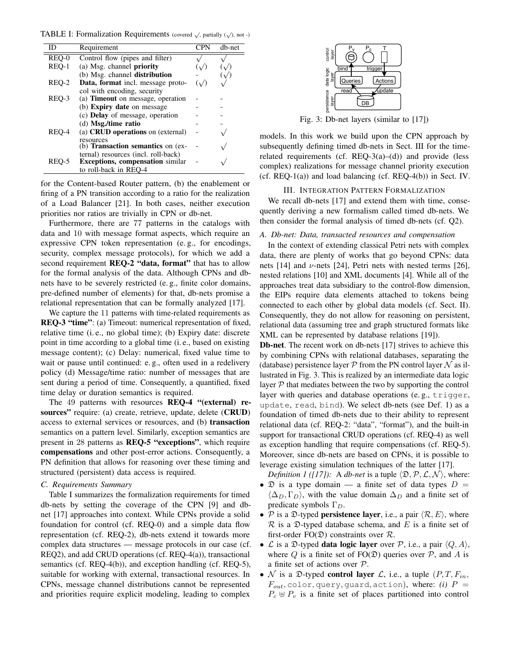TABLE I: Formalization Requirements (covered  $\sqrt{ }$ , partially ( $\sqrt{ }$ ), not -)

| Ю       | Requirement                                           | <b>CPN</b>   | db-net |
|---------|-------------------------------------------------------|--------------|--------|
| $REO-0$ | Control flow (pipes and filter)                       |              |        |
| REO-1   | (a) Msg. channel <b>priority</b>                      |              |        |
|         | (b) Msg. channel distribution                         |              |        |
| REO-2   | <b>Data, format</b> incl. message proto-              | $(\sqrt{2})$ |        |
|         | col with encoding, security                           |              |        |
| REO-3   | (a) <b>Timeout</b> on message, operation              |              |        |
|         | (b) <b>Expiry date</b> on message                     |              |        |
|         | (c) <b>Delay</b> of message, operation                |              |        |
|         | (d) Msg./time ratio                                   |              |        |
| REO-4   | (a) CRUD operations on (external)                     |              |        |
|         | resources<br>(b) <b>Transaction semantics</b> on (ex- |              |        |
|         | ternal) resources (incl. roll-back)                   |              |        |
| REO-5   | <b>Exceptions, compensation</b> similar               |              |        |
|         | to roll-back in REO-4                                 |              |        |

for the Content-based Router pattern, (b) the enablement or firing of a PN transition according to a ratio for the realization of a Load Balancer [21]. In both cases, neither execution priorities nor ratios are trivially in CPN or db-net.

Furthermore, there are 77 patterns in the catalogs with data and 10 with message format aspects, which require an expressive CPN token representation (e. g., for encodings, security, complex message protocols), for which we add a second requirement REQ-2 "data, format" that has to allow for the formal analysis of the data. Although CPNs and dbnets have to be severely restricted (e. g., finite color domains, pre-defined number of elements) for that, db-nets promise a relational representation that can be formally analyzed [17].

We capture the 11 patterns with time-related requirements as REQ-3 "time": (a) Timeout: numerical representation of fixed, relative time (i. e., no global time); (b) Expiry date: discrete point in time according to a global time (i. e., based on existing message content); (c) Delay: numerical, fixed value time to wait or pause until continued: e. g., often used in a redelivery policy (d) Message/time ratio: number of messages that are sent during a period of time. Consequently, a quantified, fixed time delay or duration semantics is required.

The 49 patterns with resources REQ-4 "(external) resources" require: (a) create, retrieve, update, delete (CRUD) access to external services or resources, and (b) transaction semantics on a pattern level. Similarly, exception semantics are present in 28 patterns as REQ-5 "exceptions", which require compensations and other post-error actions. Consequently, a PN definition that allows for reasoning over these timing and structured (persistent) data access is required.

# *C. Requirements Summary*

Table I summarizes the formalization requirements for timed db-nets by setting the coverage of the CPN [9] and dbnet [17] approaches into context. While CPNs provide a solid foundation for control (cf. REQ-0) and a simple data flow representation (cf. REQ-2), db-nets extend it towards more complex data structures — message protocols in our case (cf. REQ2), and add CRUD operations (cf. REQ-4(a)), transactional semantics (cf. REQ-4(b)), and exception handling (cf. REQ-5), suitable for working with external, transactional resources. In CPNs, message channel distributions cannot be represented and priorities require explicit modeling, leading to complex



Fig. 3: Db-net layers (similar to [17])

models. In this work we build upon the CPN approach by subsequently defining timed db-nets in Sect. III for the timerelated requirements (cf.  $REQ-3(a)$ –(d)) and provide (less complex) realizations for message channel priority execution  $(cf. REQ-1(a))$  and load balancing  $(cf. REQ-4(b))$  in Sect. IV.

### III. INTEGRATION PATTERN FORMALIZATION

We recall db-nets [17] and extend them with time, consequently deriving a new formalism called timed db-nets. We then consider the formal analysis of timed db-nets (cf. Q2).

# *A. Db-net: Data, transacted resources and compensation*

In the context of extending classical Petri nets with complex data, there are plenty of works that go beyond CPNs: data nets [14] and  $\nu$ -nets [24], Petri nets with nested terms [26], nested relations [10] and XML documents [4]. While all of the approaches treat data subsidiary to the control-flow dimension, the EIPs require data elements attached to tokens being connected to each other by global data models (cf. Sect. II). Consequently, they do not allow for reasoning on persistent, relational data (assuming tree and graph structured formats like XML can be represented by database relations [19]).

Db-net. The recent work on db-nets [17] strives to achieve this by combining CPNs with relational databases, separating the (database) persistence layer  $P$  from the PN control layer  $\mathcal N$  as illustrated in Fig. 3. This is realized by an intermediate data logic layer  $P$  that mediates between the two by supporting the control layer with queries and database operations (e.g., trigger, update, read, bind). We select db-nets (see Def. 1) as a foundation of timed db-nets due to their ability to represent relational data (cf. REQ-2: "data", "format"), and the built-in support for transactional CRUD operations (cf. REQ-4) as well as exception handling that require compensations (cf. REQ-5). Moreover, since db-nets are based on CPNs, it is possible to leverage existing simulation techniques of the latter [17].

*Definition 1 ([17]):* A *db-net* is a tuple  $\langle \mathfrak{D}, \mathcal{P}, \mathcal{L}, \mathcal{N} \rangle$ , where:

- $\mathcal{D}$  is a type domain a finite set of data types  $D =$  $\langle \Delta_D, \Gamma_D \rangle$ , with the value domain  $\Delta_D$  and a finite set of predicate symbols  $\Gamma_D$ .
- P is a  $\mathcal{D}$ -typed **persistence layer**, i.e., a pair  $\langle \mathcal{R}, E \rangle$ , where  $\mathcal R$  is a  $\mathfrak D$ -typed database schema, and E is a finite set of first-order FO( $\mathfrak{D}$ ) constraints over  $\mathcal{R}$ .
- $\mathcal L$  is a  $\mathfrak D$ -typed **data logic layer** over  $\mathcal P$ , i.e., a pair  $\langle Q, A \rangle$ , where Q is a finite set of FO( $\mathfrak{D}$ ) queries over P, and A is a finite set of actions over P.
- N is a  $\mathfrak{D}$ -typed control layer  $\mathcal{L}$ , i.e., a tuple  $(P, T, F_{in}, F_{in})$  $F_{out}$ , color, query, quard, action), where: *(i)*  $P =$  $P_c \oplus P_v$  is a finite set of places partitioned into control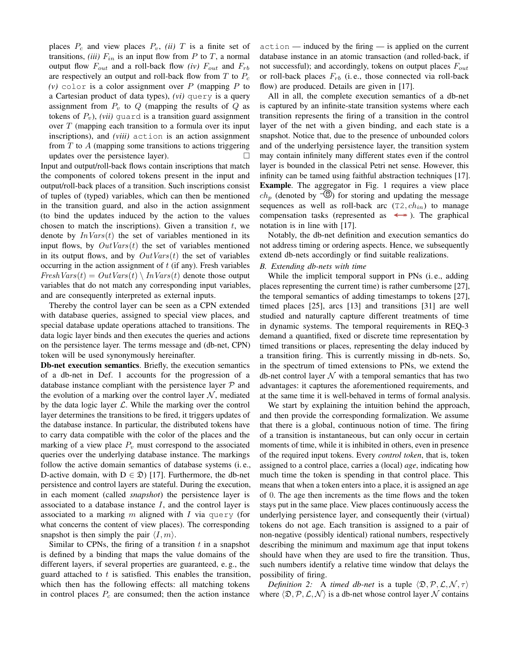places  $P_c$  and view places  $P_v$ , *(ii)*  $T$  is a finite set of transitions, *(iii)*  $F_{in}$  is an input flow from P to T, a normal output flow  $F_{out}$  and a roll-back flow *(iv)*  $F_{out}$  and  $F_{rb}$ are respectively an output and roll-back flow from  $T$  to  $P_c$  $(v)$  color is a color assignment over P (mapping P to a Cartesian product of data types), *(vi)* query is a query assignment from  $P_v$  to  $Q$  (mapping the results of  $Q$  as tokens of  $P_v$ ), *(vii)* guard is a transition guard assignment over  $T$  (mapping each transition to a formula over its input inscriptions), and *(viii)* action is an action assignment from  $T$  to  $A$  (mapping some transitions to actions triggering updates over the persistence layer).  $\Box$ 

Input and output/roll-back flows contain inscriptions that match the components of colored tokens present in the input and output/roll-back places of a transition. Such inscriptions consist of tuples of (typed) variables, which can then be mentioned in the transition guard, and also in the action assignment (to bind the updates induced by the action to the values chosen to match the inscriptions). Given a transition  $t$ , we denote by  $InVars(t)$  the set of variables mentioned in its input flows, by  $OutVars(t)$  the set of variables mentioned in its output flows, and by  $OutVars(t)$  the set of variables occurring in the action assignment of  $t$  (if any). Fresh variables  $FreshVars(t) = OutVars(t) \setminus InVars(t)$  denote those output variables that do not match any corresponding input variables, and are consequently interpreted as external inputs.

Thereby the control layer can be seen as a CPN extended with database queries, assigned to special view places, and special database update operations attached to transitions. The data logic layer binds and then executes the queries and actions on the persistence layer. The terms message and (db-net, CPN) token will be used synonymously hereinafter.

Db-net execution semantics. Briefly, the execution semantics of a db-net in Def. 1 accounts for the progression of a database instance compliant with the persistence layer  $P$  and the evolution of a marking over the control layer  $N$ , mediated by the data logic layer  $\mathcal{L}$ . While the marking over the control layer determines the transitions to be fired, it triggers updates of the database instance. In particular, the distributed tokens have to carry data compatible with the color of the places and the marking of a view place  $P_v$  must correspond to the associated queries over the underlying database instance. The markings follow the active domain semantics of database systems (i. e., D-active domain, with  $D \in \mathcal{D}$  [17]. Furthermore, the db-net persistence and control layers are stateful. During the execution, in each moment (called *snapshot*) the persistence layer is associated to a database instance  $I$ , and the control layer is associated to a marking m aligned with  $I$  via query (for what concerns the content of view places). The corresponding snapshot is then simply the pair  $\langle I, m \rangle$ .

Similar to CPNs, the firing of a transition  $t$  in a snapshot is defined by a binding that maps the value domains of the different layers, if several properties are guaranteed, e. g., the guard attached to  $t$  is satisfied. This enables the transition, which then has the following effects: all matching tokens in control places  $P_c$  are consumed; then the action instance

action — induced by the firing — is applied on the current database instance in an atomic transaction (and rolled-back, if not successful); and accordingly, tokens on output places  $F_{out}$ or roll-back places  $F_{rb}$  (i.e., those connected via roll-back flow) are produced. Details are given in [17].

All in all, the complete execution semantics of a db-net is captured by an infinite-state transition systems where each transition represents the firing of a transition in the control layer of the net with a given binding, and each state is a snapshot. Notice that, due to the presence of unbounded colors and of the underlying persistence layer, the transition system may contain infinitely many different states even if the control layer is bounded in the classical Petri net sense. However, this infinity can be tamed using faithful abstraction techniques [17]. Example. The aggregator in Fig. 1 requires a view place  $ch_p$  (denoted by  $\overline{\Theta}$ ) for storing and updating the message sequences as well as roll-back arc  $(T2, ch_{in})$  to manage compensation tasks (represented as  $\leftrightarrow$ ). The graphical notation is in line with [17].

Notably, the db-net definition and execution semantics do not address timing or ordering aspects. Hence, we subsequently extend db-nets accordingly or find suitable realizations.

# *B. Extending db-nets with time*

While the implicit temporal support in PNs (i. e., adding places representing the current time) is rather cumbersome [27], the temporal semantics of adding timestamps to tokens [27], timed places [25], arcs [13] and transitions [31] are well studied and naturally capture different treatments of time in dynamic systems. The temporal requirements in REQ-3 demand a quantified, fixed or discrete time representation by timed transitions or places, representing the delay induced by a transition firing. This is currently missing in db-nets. So, in the spectrum of timed extensions to PNs, we extend the db-net control layer  $\mathcal N$  with a temporal semantics that has two advantages: it captures the aforementioned requirements, and at the same time it is well-behaved in terms of formal analysis.

We start by explaining the intuition behind the approach, and then provide the corresponding formalization. We assume that there is a global, continuous notion of time. The firing of a transition is instantaneous, but can only occur in certain moments of time, while it is inhibited in others, even in presence of the required input tokens. Every *control token*, that is, token assigned to a control place, carries a (local) *age*, indicating how much time the token is spending in that control place. This means that when a token enters into a place, it is assigned an age of 0. The age then increments as the time flows and the token stays put in the same place. View places continuously access the underlying persistence layer, and consequently their (virtual) tokens do not age. Each transition is assigned to a pair of non-negative (possibly identical) rational numbers, respectively describing the minimum and maximum age that input tokens should have when they are used to fire the transition. Thus, such numbers identify a relative time window that delays the possibility of firing.

*Definition 2:* A *timed db-net* is a tuple  $\langle \mathfrak{D}, \mathcal{P}, \mathcal{L}, \mathcal{N}, \tau \rangle$ where  $\langle \mathfrak{D}, \mathcal{P}, \mathcal{L}, \mathcal{N} \rangle$  is a db-net whose control layer N contains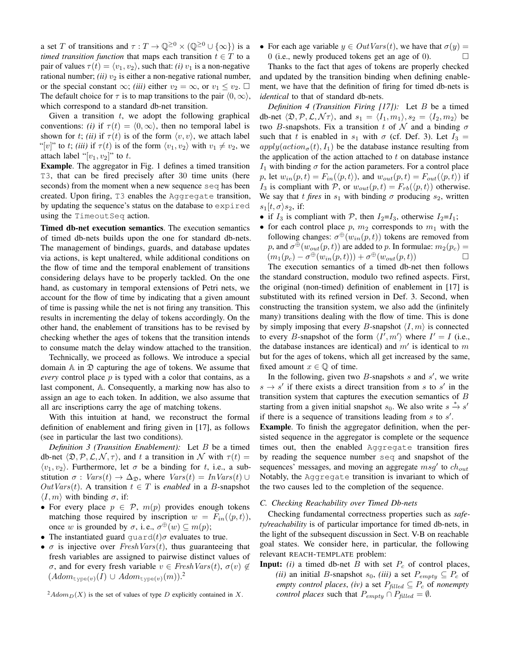a set T of transitions and  $\tau : T \to \mathbb{Q}^{\geq 0} \times (\mathbb{Q}^{\geq 0} \cup {\infty})$  is a *timed transition function* that maps each transition  $t \in T$  to a pair of values  $\tau(t) = \langle v_1, v_2 \rangle$ , such that: *(i)*  $v_1$  is a non-negative rational number; *(ii)*  $v_2$  is either a non-negative rational number, or the special constant  $\infty$ ; *(iii)* either  $v_2 = \infty$ , or  $v_1 \le v_2$ .  $\Box$ The default choice for  $\tau$  is to map transitions to the pair  $\langle 0, \infty \rangle$ , which correspond to a standard db-net transition.

Given a transition  $t$ , we adopt the following graphical conventions: *(i)* if  $\tau(t) = \langle 0, \infty \rangle$ , then no temporal label is shown for t; *(ii)* if  $\tau(t)$  is of the form  $\langle v, v \rangle$ , we attach label "[v]" to t; *(iii)* if  $\tau(t)$  is of the form  $\langle v_1, v_2 \rangle$  with  $v_1 \neq v_2$ , we attach label "[ $v_1, v_2$ ]" to t.

Example. The aggregator in Fig. 1 defines a timed transition T3, that can be fired precisely after 30 time units (here seconds) from the moment when a new sequence seq has been created. Upon firing, T3 enables the Aggregate transition, by updating the sequence's status on the database to expired using the TimeoutSeq action.

Timed db-net execution semantics. The execution semantics of timed db-nets builds upon the one for standard db-nets. The management of bindings, guards, and database updates via actions, is kept unaltered, while additional conditions on the flow of time and the temporal enablement of transitions considering delays have to be properly tackled. On the one hand, as customary in temporal extensions of Petri nets, we account for the flow of time by indicating that a given amount of time is passing while the net is not firing any transition. This results in incrementing the delay of tokens accordingly. On the other hand, the enablement of transitions has to be revised by checking whether the ages of tokens that the transition intends to consume match the delay window attached to the transition.

Technically, we proceed as follows. We introduce a special domain  $A$  in  $D$  capturing the age of tokens. We assume that *every* control place  $p$  is typed with a color that contains, as a last component, A. Consequently, a marking now has also to assign an age to each token. In addition, we also assume that all arc inscriptions carry the age of matching tokens.

With this intuition at hand, we reconstruct the formal definition of enablement and firing given in [17], as follows (see in particular the last two conditions).

*Definition 3 (Transition Enablement):* Let B be a timed db-net  $\langle \mathfrak{D}, \mathcal{P}, \mathcal{L}, \mathcal{N}, \tau \rangle$ , and t a transition in N with  $\tau(t) =$  $\langle v_1, v_2 \rangle$ . Furthermore, let  $\sigma$  be a binding for t, i.e., a substitution  $\sigma$ :  $Vars(t) \rightarrow \Delta_{\mathfrak{D}}$ , where  $Vars(t) = Inv(s(t) \cup$  $OutVars(t)$ . A transition  $t \in T$  is *enabled* in a B-snapshot  $\langle I, m \rangle$  with binding  $\sigma$ , if:

- For every place  $p \in \mathcal{P}$ ,  $m(p)$  provides enough tokens matching those required by inscription  $w = F_{in}(\langle p, t \rangle)$ , once w is grounded by  $\sigma$ , i.e.,  $\sigma^{\oplus}(w) \subseteq m(p)$ ;
- The instantiated guard  $\text{quard}(t)\sigma$  evaluates to true.
- $\sigma$  is injective over Fresh Vars(t), thus guaranteeing that fresh variables are assigned to pairwise distinct values of σ, and for every fresh variable  $v \in$  Fresh Vars(t),  $\sigma(v) \notin$  $(Adom_{\text{type}(v)}(I) \cup Adom_{\text{type}(v)}(m))$ .<sup>2</sup>

<sup>2</sup>Adom<sub>D</sub>(X) is the set of values of type D explicitly contained in X.

• For each age variable  $y \in OutVars(t)$ , we have that  $\sigma(y) =$ 0 (i.e., newly produced tokens get an age of 0).  $\Box$ 

Thanks to the fact that ages of tokens are properly checked and updated by the transition binding when defining enablement, we have that the definition of firing for timed db-nets is *identical* to that of standard db-nets.

*Definition 4 (Transition Firing [17]):* Let B be a timed db-net  $\langle \mathfrak{D}, \mathcal{P}, \mathcal{L}, \mathcal{N}\tau \rangle$ , and  $s_1 = \langle I_1, m_1 \rangle$ ,  $s_2 = \langle I_2, m_2 \rangle$  be two B-snapshots. Fix a transition t of N and a binding  $\sigma$ such that t is enabled in  $s_1$  with  $\sigma$  (cf. Def. 3). Let  $I_3 =$  $apply(action_{\sigma}(t), I_1)$  be the database instance resulting from the application of the action attached to  $t$  on database instance  $I_1$  with binding  $\sigma$  for the action parameters. For a control place p, let  $w_{in}(p, t) = F_{in}(\langle p, t \rangle)$ , and  $w_{out}(p, t) = F_{out}(\langle p, t \rangle)$  if  $I_3$  is compliant with P, or  $w_{out}(p, t) = F_{rb}(\langle p, t \rangle)$  otherwise. We say that *t fires* in  $s_1$  with binding  $\sigma$  producing  $s_2$ , written  $s_1[t, \sigma \rangle s_2$ , if:

- if  $I_3$  is compliant with P, then  $I_2=I_3$ , otherwise  $I_2=I_1$ ;
- for each control place p,  $m_2$  corresponds to  $m_1$  with the following changes:  $\sigma^{\oplus}(w_{in}(p, t))$  tokens are removed from p, and  $\sigma^{\oplus}(w_{out}(p, t))$  are added to p. In formulae:  $m_2(p_c)$  =  $(m_1(p_c) - \sigma^{\oplus}(w_{in}(p, t))) + \sigma^{\oplus}(w_{out}(p, t))$

The execution semantics of a timed db-net then follows the standard construction, modulo two refined aspects. First, the original (non-timed) definition of enablement in [17] is substituted with its refined version in Def. 3. Second, when constructing the transition system, we also add the (infinitely many) transitions dealing with the flow of time. This is done by simply imposing that every B-snapshot  $\langle I, m \rangle$  is connected to every *B*-snapshot of the form  $\langle I', m' \rangle$  where  $I' = I$  (i.e., the database instances are identical) and  $m'$  is identical to m but for the ages of tokens, which all get increased by the same, fixed amount  $x \in \mathbb{Q}$  of time.

In the following, given two  $B$ -snapshots  $s$  and  $s'$ , we write  $s \rightarrow s'$  if there exists a direct transition from s to s' in the transition system that captures the execution semantics of B starting from a given initial snapshot  $s_0$ . We also write  $s \stackrel{*}{\rightarrow} s'$ if there is a sequence of transitions leading from  $s$  to  $s'$ .

Example. To finish the aggregator definition, when the persisted sequence in the aggregator is complete or the sequence times out, then the enabled Aggregate transition fires by reading the sequence number seq and snapshot of the sequences' messages, and moving an aggregate  $msg'$  to  $ch_{out}$ Notably, the Aggregate transition is invariant to which of the two causes led to the completion of the sequence.

# *C. Checking Reachability over Timed Db-nets*

Checking fundamental correctness properties such as *safety/reachability* is of particular importance for timed db-nets, in the light of the subsequent discussion in Sect. V-B on reachable goal states. We consider here, in particular, the following relevant REACH-TEMPLATE problem:

**Input:** *(i)* a timed db-net B with set  $P_c$  of control places, *(ii)* an initial B-snapshot  $s_0$ , *(iii)* a set  $P_{empty} \subseteq P_c$  of *empty control places, (iv)* a set  $P_{\text{filled}} \subseteq P_c$  of *nonempty control places* such that  $P_{empty} \cap P_{filled} = \emptyset$ .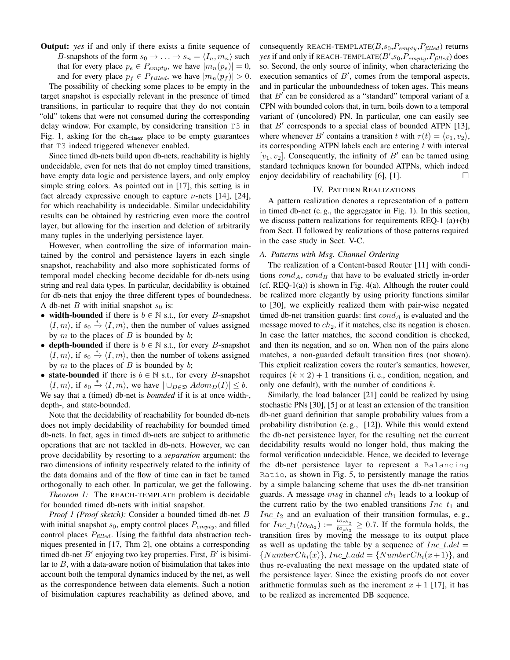**Output:** *yes* if and only if there exists a finite sequence of *B*-snapshots of the form  $s_0 \to \ldots \to s_n = \langle I_n, m_n \rangle$  such that for every place  $p_e \in P_{empty}$ , we have  $|m_n(p_e)| = 0$ , and for every place  $p_f \in P_{filled}$ , we have  $|m_n(p_f)| > 0$ .

The possibility of checking some places to be empty in the target snapshot is especially relevant in the presence of timed transitions, in particular to require that they do not contain "old" tokens that were not consumed during the corresponding delay window. For example, by considering transition T3 in Fig. 1, asking for the  $ch<sub>timer</sub>$  place to be empty guarantees that T3 indeed triggered whenever enabled.

Since timed db-nets build upon db-nets, reachability is highly undecidable, even for nets that do not employ timed transitions, have empty data logic and persistence layers, and only employ simple string colors. As pointed out in [17], this setting is in fact already expressive enough to capture  $\nu$ -nets [14], [24], for which reachability is undecidable. Similar undecidability results can be obtained by restricting even more the control layer, but allowing for the insertion and deletion of arbitrarily many tuples in the underlying persistence layer.

However, when controlling the size of information maintained by the control and persistence layers in each single snapshot, reachability and also more sophisticated forms of temporal model checking become decidable for db-nets using string and real data types. In particular, decidability is obtained for db-nets that enjoy the three different types of boundedness. A db-net B with initial snapshot  $s_0$  is:

- width-bounded if there is  $b \in \mathbb{N}$  s.t., for every *B*-snapshot  $\langle I, m \rangle$ , if  $s_0 \stackrel{*}{\rightarrow} \langle I, m \rangle$ , then the number of values assigned by  $m$  to the places of  $B$  is bounded by  $b$ ;
- depth-bounded if there is  $b \in \mathbb{N}$  s.t., for every B-snapshot  $\langle I, m \rangle$ , if  $s_0 \stackrel{*}{\rightarrow} \langle I, m \rangle$ , then the number of tokens assigned by  $m$  to the places of  $B$  is bounded by  $b$ ;
- state-bounded if there is  $b \in \mathbb{N}$  s.t., for every B-snapshot  $\langle I, m \rangle$ , if  $s_0 \stackrel{*}{\rightarrow} \langle I, m \rangle$ , we have  $|\bigcup_{D \in \mathfrak{D}} \text{Adom}_D(I)| \leq b$ . We say that a (timed) db-net is *bounded* if it is at once width-, depth-, and state-bounded.

Note that the decidability of reachability for bounded db-nets does not imply decidability of reachability for bounded timed db-nets. In fact, ages in timed db-nets are subject to arithmetic operations that are not tackled in db-nets. However, we can prove decidability by resorting to a *separation* argument: the two dimensions of infinity respectively related to the infinity of the data domains and of the flow of time can in fact be tamed orthogonally to each other. In particular, we get the following.

*Theorem 1:* The REACH-TEMPLATE problem is decidable for bounded timed db-nets with initial snapshot.

*Proof 1 (Proof sketch):* Consider a bounded timed db-net B with initial snapshot  $s_0$ , empty control places  $P_{empty}$ , and filled control places  $P_{filled}$ . Using the faithful data abstraction techniques presented in [17, Thm 2], one obtains a corresponding timed db-net  $B'$  enjoying two key properties. First,  $B'$  is bisimilar to  $B$ , with a data-aware notion of bisimulation that takes into account both the temporal dynamics induced by the net, as well as the correspondence between data elements. Such a notion of bisimulation captures reachability as defined above, and

consequently REACH-TEMPLATE( $B,s_0,P_{empty},P_{filled}$ ) returns *yes* if and only if REACH-TEMPLATE( $B', s_0, \overline{P}_{empty}, P_{filled}$ ) does so. Second, the only source of infinity, when characterizing the execution semantics of  $B'$ , comes from the temporal aspects, and in particular the unboundedness of token ages. This means that  $B'$  can be considered as a "standard" temporal variant of a CPN with bounded colors that, in turn, boils down to a temporal variant of (uncolored) PN. In particular, one can easily see that  $B'$  corresponds to a special class of bounded ATPN [13], where whenever B' contains a transition t with  $\tau(t) = \langle v_1, v_2 \rangle$ , its corresponding ATPN labels each arc entering  $t$  with interval  $[v_1, v_2]$ . Consequently, the infinity of  $B'$  can be tamed using standard techniques known for bounded ATPNs, which indeed enjoy decidability of reachability [6], [1].  $\Box$ 

# IV. PATTERN REALIZATIONS

A pattern realization denotes a representation of a pattern in timed db-net (e. g., the aggregator in Fig. 1). In this section, we discuss pattern realizations for requirements REQ-1 (a)+(b) from Sect. II followed by realizations of those patterns required in the case study in Sect. V-C.

### *A. Patterns with Msg. Channel Ordering*

The realization of a Content-based Router [11] with conditions  $cond_A$ ,  $cond_B$  that have to be evaluated strictly in-order  $(cf. REQ-1(a))$  is shown in Fig. 4(a). Although the router could be realized more elegantly by using priority functions similar to [30], we explicitly realized them with pair-wise negated timed db-net transition guards: first  $cond_A$  is evaluated and the message moved to  $ch_2$ , if it matches, else its negation is chosen. In case the latter matches, the second condition is checked, and then its negation, and so on. When non of the pairs alone matches, a non-guarded default transition fires (not shown). This explicit realization covers the router's semantics, however, requires  $(k \times 2) + 1$  transitions (i.e., condition, negation, and only one default), with the number of conditions  $k$ .

Similarly, the load balancer [21] could be realized by using stochastic PNs [30], [5] or at least an extension of the transition db-net guard definition that sample probability values from a probability distribution (e. g., [12]). While this would extend the db-net persistence layer, for the resulting net the current decidability results would no longer hold, thus making the formal verification undecidable. Hence, we decided to leverage the db-net persistence layer to represent a Balancing Ratio, as shown in Fig. 5, to persistently manage the ratios by a simple balancing scheme that uses the db-net transition guards. A message  $msg$  in channel  $ch_1$  leads to a lookup of the current ratio by the two enabled transitions  $Inc\_t_1$  and  $Inc\_t_2$  and an evaluation of their transition formulas, e.g., for  $Inc\_t_1(to_{ch_2}) := \frac{to_{ch_2}}{to_{ch_3}} \ge 0.7$ . If the formula holds, the transition fires by moving the message to its output place as well as updating the table by a sequence of  $Inc\_t.del =$  $\{NumberCh_i(x)\}\$ ,  $Inc\_t.add = \{NumberCh_i(x+1)\}\$ , and thus re-evaluating the next message on the updated state of the persistence layer. Since the existing proofs do not cover arithmetic formulas such as the increment  $x + 1$  [17], it has to be realized as incremented DB sequence.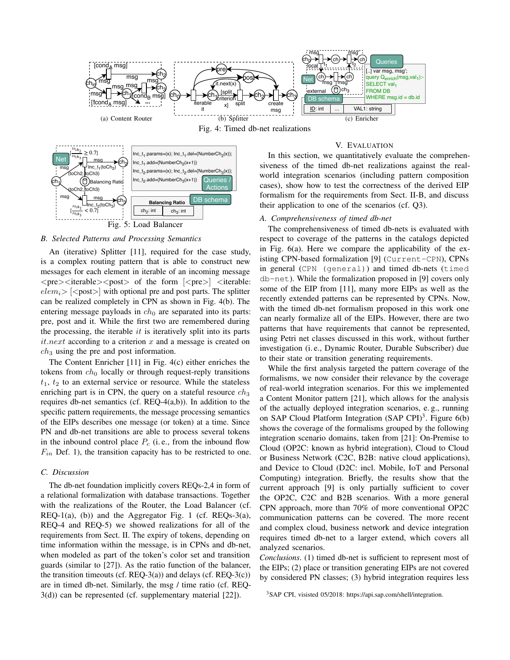

Fig. 4: Timed db-net realizations

#### $Inc\_t_1$ (toCh<sub>2</sub>) oCh3) (ch msg msg (ch<sub>2</sub>) msg msg (ch<sub>3</sub>)  $h2$ , toCh3)  $\left[\frac{io_{ch_2}}{io_{ch_3}}\right] \geq 0.7$  $< 0.7$ ]  $to_{ch}$  $\frac{10ch_2}{10ch_3}$ Inc\_t<sub>2</sub>(toCh<sub>3</sub>)  $Inc\_t_1$ .params=(x);  $Inc\_t_1$ .del={NumberCh<sub>2</sub>(x)}; Inc\_t<sub>1</sub>.add={NumberCh<sub>2</sub>(x+1)} Inc\_t<sup>2</sup> .params=(x); Inc\_t<sup>2</sup> .del={NumberCh<sup>3</sup> (x)}; Inc\_t<sub>2</sub>.add={NumberCh<sub>3</sub>(x+1)} **Balancing Ratio**  $ch_2$ : int : int ch<sub>3</sub>: int Balancing Ratio DB schema Net **Queries** Actions Fig. 5: Load Balancer

# *B. Selected Patterns and Processing Semantics*

An (iterative) Splitter [11], required for the case study, is a complex routing pattern that is able to construct new messages for each element in iterable of an incoming message  $\langle pre \rangle \langle item \rangle \langle post \rangle$  of the form  $\langle pre \rangle$   $\langle item \rangle$  $elem_i >$   $|$  with optional pre and post parts. The splitter can be realized completely in CPN as shown in Fig. 4(b). The entering message payloads in  $ch_0$  are separated into its parts: pre, post and it. While the first two are remembered during the processing, the iterable  $it$  is iteratively split into its parts *it.next* according to a criterion  $x$  and a message is created on  $ch<sub>3</sub>$  using the pre and post information.

The Content Enricher [11] in Fig. 4(c) either enriches the tokens from  $ch_0$  locally or through request-reply transitions  $t_1$ ,  $t_2$  to an external service or resource. While the stateless enriching part is in CPN, the query on a stateful resource  $ch<sub>3</sub>$ requires db-net semantics (cf. REQ-4(a,b)). In addition to the specific pattern requirements, the message processing semantics of the EIPs describes one message (or token) at a time. Since PN and db-net transitions are able to process several tokens in the inbound control place  $P_c$  (i.e., from the inbound flow  $F_{in}$  Def. 1), the transition capacity has to be restricted to one.

# *C. Discussion*

The db-net foundation implicitly covers REQs-2,4 in form of a relational formalization with database transactions. Together with the realizations of the Router, the Load Balancer (cf. REQ-1(a), (b)) and the Aggregator Fig. 1 (cf. REQs-3(a), REQ-4 and REQ-5) we showed realizations for all of the requirements from Sect. II. The expiry of tokens, depending on time information within the message, is in CPNs and db-net, when modeled as part of the token's color set and transition guards (similar to [27]). As the ratio function of the balancer, the transition timeouts (cf. REQ-3(a)) and delays (cf. REQ-3(c)) are in timed db-net. Similarly, the msg / time ratio (cf. REQ-3(d)) can be represented (cf. supplementary material [22]).

# V. EVALUATION

In this section, we quantitatively evaluate the comprehensiveness of the timed db-net realizations against the realworld integration scenarios (including pattern composition cases), show how to test the correctness of the derived EIP formalism for the requirements from Sect. II-B, and discuss their application to one of the scenarios (cf. Q3).

# *A. Comprehensiveness of timed db-net*

The comprehensiveness of timed db-nets is evaluated with respect to coverage of the patterns in the catalogs depicted in Fig. 6(a). Here we compare the applicability of the existing CPN-based formalization [9] (Current-CPN), CPNs in general (CPN (general)) and timed db-nets (timed db-net). While the formalization proposed in [9] covers only some of the EIP from [11], many more EIPs as well as the recently extended patterns can be represented by CPNs. Now, with the timed db-net formalism proposed in this work one can nearly formalize all of the EIPs. However, there are two patterns that have requirements that cannot be represented, using Petri net classes discussed in this work, without further investigation (i. e., Dynamic Router, Durable Subscriber) due to their state or transition generating requirements.

While the first analysis targeted the pattern coverage of the formalisms, we now consider their relevance by the coverage of real-world integration scenarios. For this we implemented a Content Monitor pattern [21], which allows for the analysis of the actually deployed integration scenarios, e. g., running on SAP Cloud Platform Integration (SAP CPI)<sup>3</sup>. Figure 6(b) shows the coverage of the formalisms grouped by the following integration scenario domains, taken from [21]: On-Premise to Cloud (OP2C: known as hybrid integration), Cloud to Cloud or Business Network (C2C, B2B: native cloud applications), and Device to Cloud (D2C: incl. Mobile, IoT and Personal Computing) integration. Briefly, the results show that the current approach [9] is only partially sufficient to cover the OP2C, C2C and B2B scenarios. With a more general CPN approach, more than 70% of more conventional OP2C communication patterns can be covered. The more recent and complex cloud, business network and device integration requires timed db-net to a larger extend, which covers all analyzed scenarios.

*Conclusions*. (1) timed db-net is sufficient to represent most of the EIPs; (2) place or transition generating EIPs are not covered by considered PN classes; (3) hybrid integration requires less

<sup>3</sup>SAP CPI, visisted 05/2018: https://api.sap.com/shell/integration.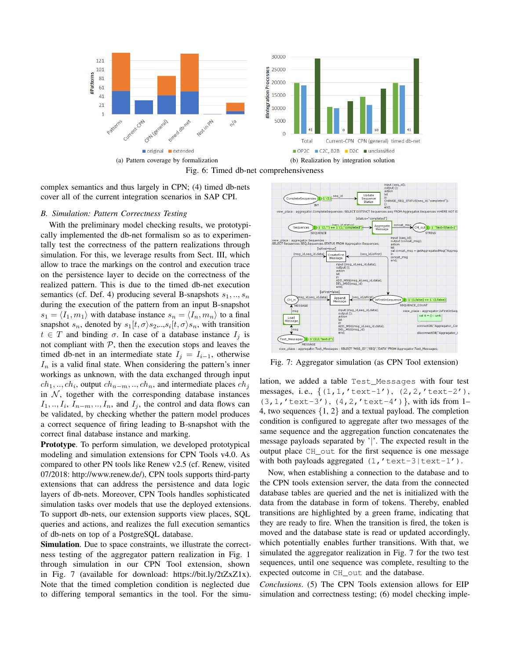

complex semantics and thus largely in CPN; (4) timed db-nets cover all of the current integration scenarios in SAP CPI.

### *B. Simulation: Pattern Correctness Testing*

With the preliminary model checking results, we prototypically implemented the db-net formalism so as to experimentally test the correctness of the pattern realizations through simulation. For this, we leverage results from Sect. III, which allow to trace the markings on the control and execution trace on the persistence layer to decide on the correctness of the realized pattern. This is due to the timed db-net execution semantics (cf. Def. 4) producing several B-snapshots  $s_1, ..., s_n$ during the execution of the pattern from an input B-snapshot  $s_1 = \langle I_1, m_1 \rangle$  with database instance  $s_n = \langle I_n, m_n \rangle$  to a final snapshot  $s_n$ , denoted by  $s_1[t, \sigma \rangle s_2, \ldots, s_i[t, \sigma \rangle s_n$ , with transition  $t \in T$  and binding  $\sigma$ . In case of a database instance  $I_i$  is not compliant with  $P$ , then the execution stops and leaves the timed db-net in an intermediate state  $I_i = I_{i-1}$ , otherwise  $I_n$  is a valid final state. When considering the pattern's inner workings as unknown, with the data exchanged through input  $ch_1, ..., ch_i$ , output  $ch_{n-m}, ..., ch_n$ , and intermediate places  $ch_j$ in  $N$ , together with the corresponding database instances  $I_1, ..., I_i, I_{n-m}, ..., I_n$ , and  $I_j$ , the control and data flows can be validated, by checking whether the pattern model produces a correct sequence of firing leading to B-snapshot with the correct final database instance and marking.

Prototype. To perform simulation, we developed prototypical modeling and simulation extensions for CPN Tools v4.0. As compared to other PN tools like Renew v2.5 (cf. Renew, visited 07/2018: http://www.renew.de/), CPN tools supports third-party extensions that can address the persistence and data logic layers of db-nets. Moreover, CPN Tools handles sophisticated simulation tasks over models that use the deployed extensions. To support db-nets, our extension supports view places, SQL queries and actions, and realizes the full execution semantics of db-nets on top of a PostgreSQL database.

Simulation. Due to space constraints, we illustrate the correctness testing of the aggregator pattern realization in Fig. 1 through simulation in our CPN Tool extension, shown in Fig. 7 (available for download: https://bit.ly/2tZxZ1x). Note that the timed completion condition is neglected due to differing temporal semantics in the tool. For the simu-



Fig. 7: Aggregator simulation (as CPN Tool extension)

lation, we added a table Test\_Messages with four test messages, i.e.,  $\{(1, 1, 'text-1'), (2, 2, 'text-2'),$  $(3, 1, 'text-3'), (4, 2, 'text-4'), withids from 1-$ 4, two sequences {1, 2} and a textual payload. The completion condition is configured to aggregate after two messages of the same sequence and the aggregation function concatenates the message payloads separated by '|'. The expected result in the output place CH\_out for the first sequence is one message with both payloads aggregated  $(1, 'text-3|text-1')$ .

Now, when establishing a connection to the database and to the CPN tools extension server, the data from the connected database tables are queried and the net is initialized with the data from the database in form of tokens. Thereby, enabled transitions are highlighted by a green frame, indicating that they are ready to fire. When the transition is fired, the token is moved and the database state is read or updated accordingly, which potentially enables further transitions. With that, we simulated the aggregator realization in Fig. 7 for the two test sequences, until one sequence was complete, resulting to the expected outcome in CH\_out and the database.

*Conclusions*. (5) The CPN Tools extension allows for EIP simulation and correctness testing; (6) model checking imple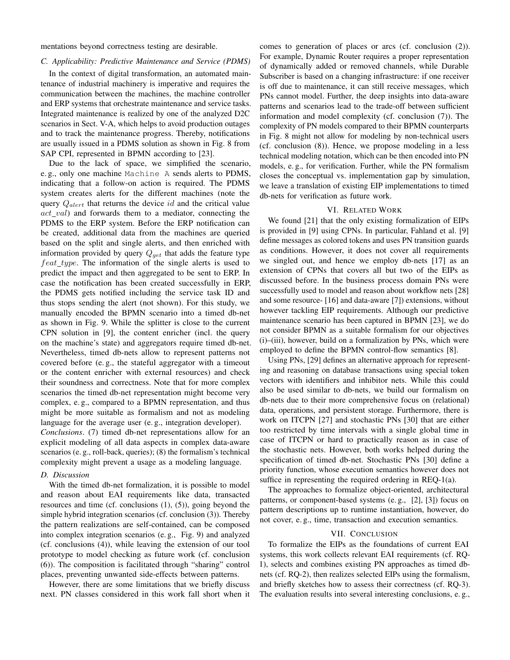mentations beyond correctness testing are desirable.

# *C. Applicability: Predictive Maintenance and Service (PDMS)*

In the context of digital transformation, an automated maintenance of industrial machinery is imperative and requires the communication between the machines, the machine controller and ERP systems that orchestrate maintenance and service tasks. Integrated maintenance is realized by one of the analyzed D2C scenarios in Sect. V-A, which helps to avoid production outages and to track the maintenance progress. Thereby, notifications are usually issued in a PDMS solution as shown in Fig. 8 from SAP CPI, represented in BPMN according to [23].

Due to the lack of space, we simplified the scenario, e. g., only one machine Machine A sends alerts to PDMS, indicating that a follow-on action is required. The PDMS system creates alerts for the different machines (note the query  $Q_{a,ert}$  that returns the device id and the critical value  $act\_val$ ) and forwards them to a mediator, connecting the PDMS to the ERP system. Before the ERP notification can be created, additional data from the machines are queried based on the split and single alerts, and then enriched with information provided by query  $Q_{get}$  that adds the feature type  $feat\_type$ . The information of the single alerts is used to predict the impact and then aggregated to be sent to ERP. In case the notification has been created successfully in ERP, the PDMS gets notified including the service task ID and thus stops sending the alert (not shown). For this study, we manually encoded the BPMN scenario into a timed db-net as shown in Fig. 9. While the splitter is close to the current CPN solution in [9], the content enricher (incl. the query on the machine's state) and aggregators require timed db-net. Nevertheless, timed db-nets allow to represent patterns not covered before (e. g., the stateful aggregator with a timeout or the content enricher with external resources) and check their soundness and correctness. Note that for more complex scenarios the timed db-net representation might become very complex, e. g., compared to a BPMN representation, and thus might be more suitable as formalism and not as modeling language for the average user (e. g., integration developer).

*Conclusions*. (7) timed db-net representations allow for an explicit modeling of all data aspects in complex data-aware scenarios (e. g., roll-back, queries); (8) the formalism's technical complexity might prevent a usage as a modeling language.

# *D. Discussion*

With the timed db-net formalization, it is possible to model and reason about EAI requirements like data, transacted resources and time (cf. conclusions (1), (5)), going beyond the simple hybrid integration scenarios (cf. conclusion (3)). Thereby the pattern realizations are self-contained, can be composed into complex integration scenarios (e. g., Fig. 9) and analyzed (cf. conclusions (4)), while leaving the extension of our tool prototype to model checking as future work (cf. conclusion (6)). The composition is facilitated through "sharing" control places, preventing unwanted side-effects between patterns.

However, there are some limitations that we briefly discuss next. PN classes considered in this work fall short when it comes to generation of places or arcs (cf. conclusion (2)). For example, Dynamic Router requires a proper representation of dynamically added or removed channels, while Durable Subscriber is based on a changing infrastructure: if one receiver is off due to maintenance, it can still receive messages, which PNs cannot model. Further, the deep insights into data-aware patterns and scenarios lead to the trade-off between sufficient information and model complexity (cf. conclusion (7)). The complexity of PN models compared to their BPMN counterparts in Fig. 8 might not allow for modeling by non-technical users (cf. conclusion (8)). Hence, we propose modeling in a less technical modeling notation, which can be then encoded into PN models, e. g., for verification. Further, while the PN formalism closes the conceptual vs. implementation gap by simulation, we leave a translation of existing EIP implementations to timed db-nets for verification as future work.

# VI. RELATED WORK

We found [21] that the only existing formalization of EIPs is provided in [9] using CPNs. In particular, Fahland et al. [9] define messages as colored tokens and uses PN transition guards as conditions. However, it does not cover all requirements we singled out, and hence we employ db-nets [17] as an extension of CPNs that covers all but two of the EIPs as discussed before. In the business process domain PNs were successfully used to model and reason about workflow nets [28] and some resource- [16] and data-aware [7]) extensions, without however tackling EIP requirements. Although our predictive maintenance scenario has been captured in BPMN [23], we do not consider BPMN as a suitable formalism for our objectives (i)–(iii), however, build on a formalization by PNs, which were employed to define the BPMN control-flow semantics [8].

Using PNs, [29] defines an alternative approach for representing and reasoning on database transactions using special token vectors with identifiers and inhibitor nets. While this could also be used similar to db-nets, we build our formalism on db-nets due to their more comprehensive focus on (relational) data, operations, and persistent storage. Furthermore, there is work on ITCPN [27] and stochastic PNs [30] that are either too restricted by time intervals with a single global time in case of ITCPN or hard to practically reason as in case of the stochastic nets. However, both works helped during the specification of timed db-net. Stochastic PNs [30] define a priority function, whose execution semantics however does not suffice in representing the required ordering in REQ-1(a).

The approaches to formalize object-oriented, architectural patterns, or component-based systems (e. g., [2], [3]) focus on pattern descriptions up to runtime instantiation, however, do not cover, e. g., time, transaction and execution semantics.

### VII. CONCLUSION

To formalize the EIPs as the foundations of current EAI systems, this work collects relevant EAI requirements (cf. RQ-1), selects and combines existing PN approaches as timed dbnets (cf. RQ-2), then realizes selected EIPs using the formalism, and briefly sketches how to assess their correctness (cf. RQ-3). The evaluation results into several interesting conclusions, e. g.,